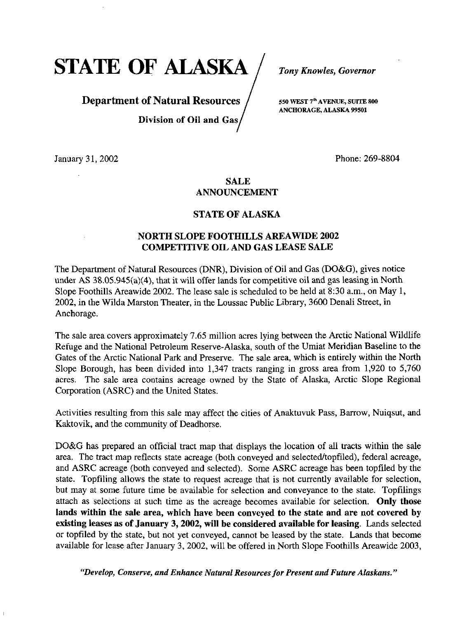STATE OF ALASKA / Tony Knowles, Governor

# **Department of Natural Resources**  $\frac{1}{550}$  WEST  $7^{\text{th}}$  AVENUE, SUITE 800 Division of Oil and Gas,

ANCHORAGE, ALASKA 99501

January 31, 2002 Phone: 269-8804

# SALE ANNOUNCEMENT

# STATE OF ALASKA

# NORTH SLOPE FOOTHILLS AREAWIDE 2002 COMPETITIVE OIL AND GAS LEASE SALE

The Department of Natural Resources (DNR), Division of Oil and Gas (DO&G), gives notice under AS 38.05.945(a)(4), that it will offer lands for competitive oil and gas leasing in North Slope Foothills Areawide 2002. The lease sale is scheduled to be held at 8:30 a.m., on May 1, 2002, in the Wilda Marston Theater, in the Loussac Public Library, 3600 Denali Street, in Anchorage.

The sale area covers approximately 7.65 million acres lying between the Arctic National Wildlife Refuge and the National Petroleum Reserve-Alaska, south of the Umiat Meridian Baseline to the Gates of the Arctic National Park and Preserve. The sale area, which is entirely within the North Slope Borough, has been divided into 1,347 tracts ranging in gross area from 1,920 to 5,760 acres. The sale area contains acreage owned by the State of Alaska, Arctic Slope Regional Corporation (ASRC) and the United States.

Activities resulting from this sale may affect the cities of Anaktuvuk Pass, Barrow, Nuiqsut, and Kaktovik, and the community of Deadhorse.

DO&G has prepared an official tract map that displays the location of all tracts within the sale area. The tract map reflects state acreage (both conveyed and selected/topfiled), federal acreage, and ASRC acreage (both conveyed and selected). Some ASRC acreage has been topfiled by the state. Topfiling allows the state to request acreage that is not currently available for selection, but may at some future time be available for selection and conveyance to the state. Topfilings attach as selections at such time as the acreage becomes available for selection. Only those lands within the sale area, which have been conveyed to the state and are not covered by existing leases as of January 3, 2002, will be considered available for leasing. Lands selected or topfiled by the state, but not yet conveyed, cannot be leased by the state. Lands that become available for lease after January 3, 2002, will be offered in North Slope Foothills Areawide 2003,

"Develop, Conserve, and Enhance Natural Resources for Present and Future Alaskans."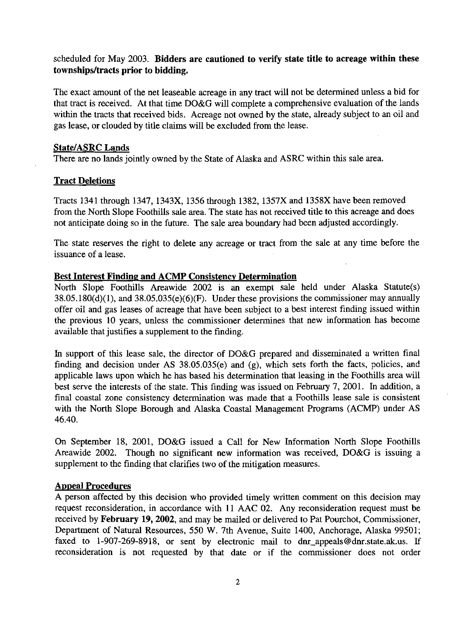# scheduled for May 2003. Bidders are cautioned to verify state title to acreage within these townships/tracts prior to bidding.

The exact amount of the net leaseable acreage in any tract will not be determined unless a bid for that tract is received. At that time DO&G will complete a comprehensive evaluation of the lands within the tracts that received bids. Acreage not owned by the state, already subject to an oil and gas lease, or clouded by title claims will be excluded from the lease.

## State/ASRC Lands

There are no lands jointly owned by the State of Alaska and ASRC within this sale area.

## Tract Deletions

Tracts 1341 through 1347,1343X, 1356 through 1382, 1357X and 1358X have been removed from the North Slope Foothills sale area. The state has not received title to this acreage and does not anticipate doing so in the future. The sale area boundary had been adjusted accordingly.

The state reserves the right to delete any acreage or tract from the sale at any time before the issuance of a lease.

## Best Interest Finding and ACMP Consistency Determination

North Slope Foothills Areawide 2002 is an exempt sale held under Alaska Statute(s)  $38.05.180(d)(1)$ , and  $38.05.035(e)(6)(F)$ . Under these provisions the commissioner may annually offer oil and gas leases of acreage that have been subject to a best interest finding issued within the previous 10 years, unless the commissioner determines that new information has become available that justifies a supplement to the finding.

In support of this lease sale, the director of DO&G prepared and disseminated a written final finding and decision under AS  $38.05.035(e)$  and  $(g)$ , which sets forth the facts, policies, and applicable laws upon which he has based his determination that leasing in the Foothills area will best serve the interests of the state. This finding was issued on February 7, 2001. In addition, a final coastal zone consistency determination was made that a Foothills lease sale is consistent with the North Slope Borough and Alaska Coastal Management Programs (ACMP) under AS 46.40.

On September 18, 2001, DO&G issued a Call for New Information North Slope Foothills Areawide 2002. Though no significant new information was received, DO&G is issuing a supplement to the finding that clarifies two of the mitigation measures.

# Appeal Procedures

A person affected by this decision who provided timely written comment on this decision may request reconsideration, in accordance with 11 AAC 02. Any reconsideration request must be received by February 19, 2002, and may be mailed or delivered to Pat Pourchot, Commissioner, Department of Natural Resources, 550 W. 7th Avenue, Suite 1400, Anchorage, Alaska 99501; faxed to 1-907-269-8918, or sent by electronic mail to [dnr\\_appeals@dnr.state.ak.us.](mailto:dnr_appeals@dnr.state.ak.us) If reconsideration is not requested by that date or if the commissioner does not order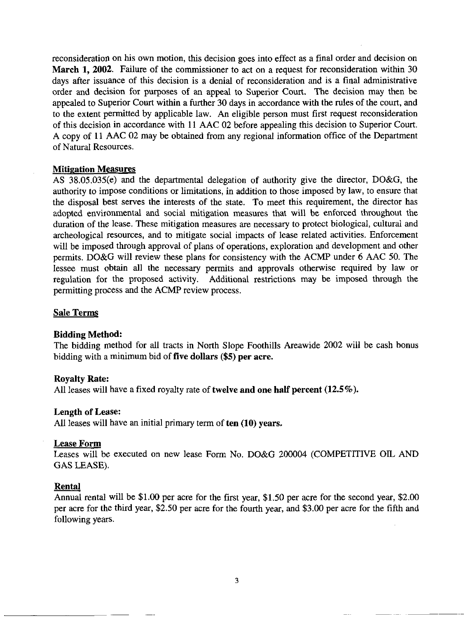reconsideration on his own motion, this decision goes into effect as a final order and decision on March 1, 2002. Failure of the commissioner to act on a request for reconsideration within 30 days after issuance of this decision is a denial of reconsideration and is a final administrative order and decision for purposes of an appeal to Superior Court. The decision may then be appealed to Superior Court within a further 30 days in accordance with the rules of the court, and to the extent permitted by applicable law. An eligible person must first request reconsideration of this decision in accordance with 11 AAC 02 before appealing this decision to Superior Court. A copy of 11 AAC 02 may be obtained from any regional information office of the Department of Natural Resources.

#### Mitigation Measures

AS 38.05.035(e) and the departmental delegation of authority give the director, DO&G, the authority to impose conditions or limitations, in addition to those imposed by law, to ensure that the disposal best serves the interests of the state. To meet this requirement, the director has adopted environmental and social mitigation measures that will be enforced throughout the duration of the lease. These mitigation measures are necessary to protect biological, cultural and archeological resources, and to mitigate social impacts of lease related activities. Enforcement will be imposed through approval of plans of operations, exploration and development and other permits. DO&G will review these plans for consistency with the ACMP under 6 AAC 50. The lessee must obtain all the necessary permits and approvals otherwise required by law or regulation for the proposed activity. Additional restrictions may be imposed through the permitting process and the ACMP review process.

#### Sale Terms

#### Bidding Method:

The bidding method for all tracts in North Slope Foothills Areawide 2002 will be cash bonus bidding with a minimum bid of five dollars (\$5) per acre.

#### Royalty Rate:

All leases will have a fixed royalty rate of twelve and one half percent  $(12.5\%)$ .

#### Length of Lease:

All leases will have an initial primary term of ten (10) years.

#### Lease Form

Leases will be executed on new lease Form No. DO&G 200004 (COMPETITIVE OIL AND GAS LEASE).

#### Rental

Annual rental will be \$1.00 per acre for the first year, \$1,50 per acre for the second year, \$2.00 per acre for the third year, \$2.50 per acre for the fourth year, and \$3.00 per acre for the fifth and following years.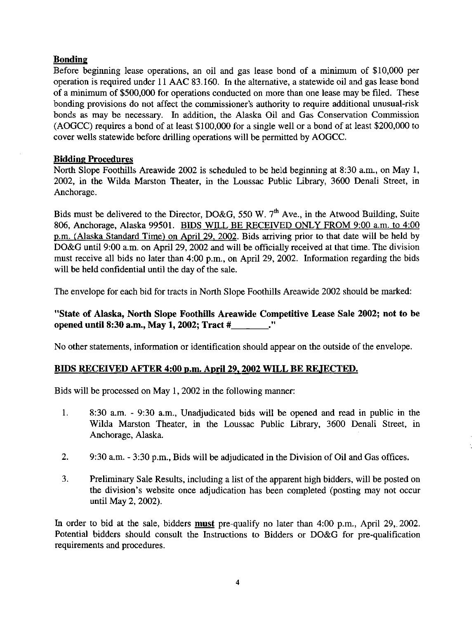## Bonding

Before beginning lease operations, an oil and gas lease bond of a minimum of \$10,000 per operation is required under 11 AAC 83.160. In the altemative, a statewide oil and gas lease bond of a minimum of \$500,000 for operations conducted on more than one lease may be filed. These bonding provisions do not affect the commissioner's authority to require additional unusual-risk bonds as may be necessary. In addition, the Alaska Oil and Gas Conservation Commission (AOGCC) requires a bond of at least \$100,000 for a single well or a bond of at least \$200,000 to cover wells statewide before drilling operations will be permitted by AOGCC.

## Bidding Procedures

North Slope Foothills Areawide 2002 is scheduled to be held beginning at 8:30 a.m., on May 1, 2002, in the Wilda Marston Theater, in the Loussac Public Library, 3600 Denali Street, in Anchorage.

Bids must be delivered to the Director, DO&G, 550 W.  $7<sup>th</sup>$  Ave., in the Atwood Building, Suite 806, Anchorage, Alaska 99501. BIDS WILL BE RECEIVED ONLY FROM 9:00 a.m. to 4:00 p.m. CAlaska Standard Time) on April 29. 2002. Bids arriving prior to that date will be held by DO&G until 9:00 a.m. on April 29, 2002 and will be officially received at that time. The division must receive all bids no later than 4:00 p.m., on April 29, 2002. Information regarding the bids will be held confidential until the day of the sale.

The envelope for each bid for tracts in North Slope Foothills Areawide 2002 should be marked:

"State of Alaska, North Slope Foothills Areawide Competitive Lease Sale 2002; not to be opened until 8:30 a.m., May 1, 2002; Tract # ."

No other statements, information or identification should appear on the outside of the envelope.

## BIDS RECEIVED AFTER 4:00 p.m. April 29, 2002 WILL BE REJECTED.

Bids will be processed on May 1, 2002 in the following manner:

- 1. 8:30 a.m. 9:30 a.m., Unadjudicated bids will be opened and read in public in the Wilda Marston Theater, in the Loussac Public Library, 3600 Denali Street, in Anchorage, Alaska.
- 2. 9:30 a.m. 3:30 p.m.. Bids will be adjudicated in the Division of Oil and Gas offices.
- 3. Preliminary Sale Results, including a list of the apparent high bidders, will be posted on the division's website once adjudication has been completed (posting may not occur until May 2, 2002).

In order to bid at the sale, bidders must pre-qualify no later than 4:00 p.m., April 29, 2002. Potential bidders should consult the Instructions to Bidders or DO&G for pre-qualification requirements and procedures.